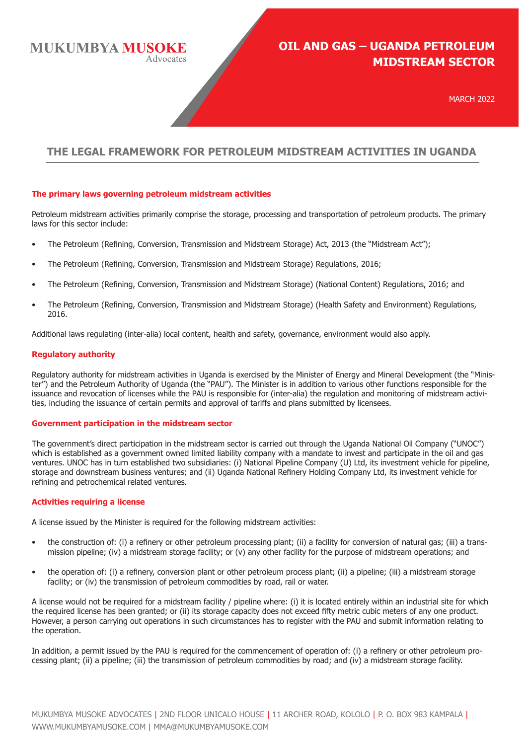**MUKUMBYA MUSOKE** Advocates

# **OIL AND GAS – UGANDA PETROLEUM MIDSTREAM SECTOR**

MARCH 2022

# **THE LEGAL FRAMEWORK FOR PETROLEUM MIDSTREAM ACTIVITIES IN UGANDA**

## **The primary laws governing petroleum midstream activities**

Petroleum midstream activities primarily comprise the storage, processing and transportation of petroleum products. The primary laws for this sector include:

- The Petroleum (Refining, Conversion, Transmission and Midstream Storage) Act, 2013 (the "Midstream Act");
- The Petroleum (Refining, Conversion, Transmission and Midstream Storage) Regulations, 2016;
- The Petroleum (Refining, Conversion, Transmission and Midstream Storage) (National Content) Regulations, 2016; and
- The Petroleum (Refining, Conversion, Transmission and Midstream Storage) (Health Safety and Environment) Regulations, 2016.

Additional laws regulating (inter-alia) local content, health and safety, governance, environment would also apply.

## **Regulatory authority**

Regulatory authority for midstream activities in Uganda is exercised by the Minister of Energy and Mineral Development (the "Minister") and the Petroleum Authority of Uganda (the "PAU"). The Minister is in addition to various other functions responsible for the issuance and revocation of licenses while the PAU is responsible for (inter-alia) the regulation and monitoring of midstream activities, including the issuance of certain permits and approval of tariffs and plans submitted by licensees.

#### **Government participation in the midstream sector**

The government's direct participation in the midstream sector is carried out through the Uganda National Oil Company ("UNOC") which is established as a government owned limited liability company with a mandate to invest and participate in the oil and gas ventures. UNOC has in turn established two subsidiaries: (i) National Pipeline Company (U) Ltd, its investment vehicle for pipeline, storage and downstream business ventures; and (ii) Uganda National Refinery Holding Company Ltd, its investment vehicle for refining and petrochemical related ventures.

#### **Activities requiring a license**

A license issued by the Minister is required for the following midstream activities:

- the construction of: (i) a refinery or other petroleum processing plant; (ii) a facility for conversion of natural gas; (iii) a transmission pipeline; (iv) a midstream storage facility; or (v) any other facility for the purpose of midstream operations; and
- the operation of: (i) a refinery, conversion plant or other petroleum process plant; (ii) a pipeline; (iii) a midstream storage facility; or (iv) the transmission of petroleum commodities by road, rail or water.

A license would not be required for a midstream facility / pipeline where: (i) it is located entirely within an industrial site for which the required license has been granted; or (ii) its storage capacity does not exceed fifty metric cubic meters of any one product. However, a person carrying out operations in such circumstances has to register with the PAU and submit information relating to the operation.

In addition, a permit issued by the PAU is required for the commencement of operation of: (i) a refinery or other petroleum processing plant; (ii) a pipeline; (iii) the transmission of petroleum commodities by road; and (iv) a midstream storage facility.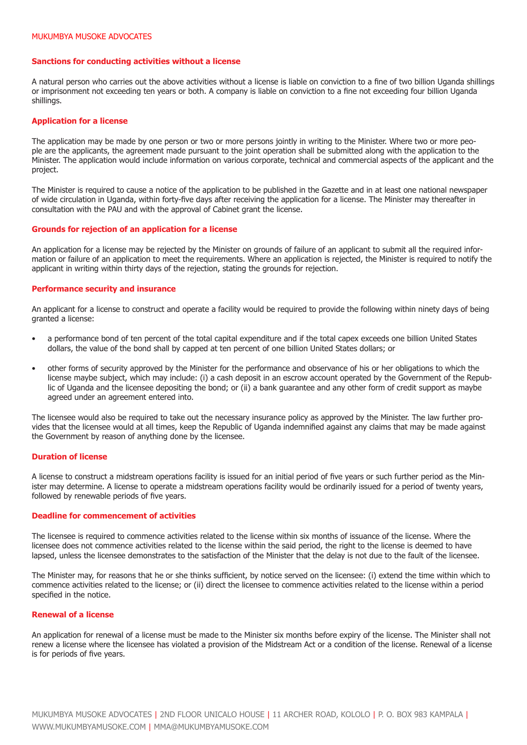#### **Sanctions for conducting activities without a license**

A natural person who carries out the above activities without a license is liable on conviction to a fine of two billion Uganda shillings or imprisonment not exceeding ten years or both. A company is liable on conviction to a fine not exceeding four billion Uganda shillings.

#### **Application for a license**

The application may be made by one person or two or more persons jointly in writing to the Minister. Where two or more people are the applicants, the agreement made pursuant to the joint operation shall be submitted along with the application to the Minister. The application would include information on various corporate, technical and commercial aspects of the applicant and the project.

The Minister is required to cause a notice of the application to be published in the Gazette and in at least one national newspaper of wide circulation in Uganda, within forty-five days after receiving the application for a license. The Minister may thereafter in consultation with the PAU and with the approval of Cabinet grant the license.

#### **Grounds for rejection of an application for a license**

An application for a license may be rejected by the Minister on grounds of failure of an applicant to submit all the required information or failure of an application to meet the requirements. Where an application is rejected, the Minister is required to notify the applicant in writing within thirty days of the rejection, stating the grounds for rejection.

#### **Performance security and insurance**

An applicant for a license to construct and operate a facility would be required to provide the following within ninety days of being granted a license:

- a performance bond of ten percent of the total capital expenditure and if the total capex exceeds one billion United States dollars, the value of the bond shall by capped at ten percent of one billion United States dollars; or
- other forms of security approved by the Minister for the performance and observance of his or her obligations to which the license maybe subject, which may include: (i) a cash deposit in an escrow account operated by the Government of the Republic of Uganda and the licensee depositing the bond; or (ii) a bank guarantee and any other form of credit support as maybe agreed under an agreement entered into.

The licensee would also be required to take out the necessary insurance policy as approved by the Minister. The law further provides that the licensee would at all times, keep the Republic of Uganda indemnified against any claims that may be made against the Government by reason of anything done by the licensee.

#### **Duration of license**

A license to construct a midstream operations facility is issued for an initial period of five years or such further period as the Minister may determine. A license to operate a midstream operations facility would be ordinarily issued for a period of twenty years, followed by renewable periods of five years.

#### **Deadline for commencement of activities**

The licensee is required to commence activities related to the license within six months of issuance of the license. Where the licensee does not commence activities related to the license within the said period, the right to the license is deemed to have lapsed, unless the licensee demonstrates to the satisfaction of the Minister that the delay is not due to the fault of the licensee.

The Minister may, for reasons that he or she thinks sufficient, by notice served on the licensee: (i) extend the time within which to commence activities related to the license; or (ii) direct the licensee to commence activities related to the license within a period specified in the notice.

# **Renewal of a license**

An application for renewal of a license must be made to the Minister six months before expiry of the license. The Minister shall not renew a license where the licensee has violated a provision of the Midstream Act or a condition of the license. Renewal of a license is for periods of five years.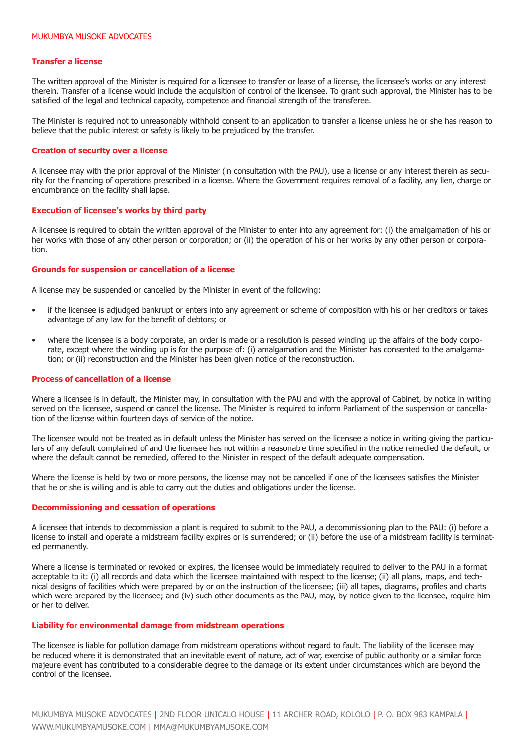#### **Transfer a license**

The written approval of the Minister is required for a licensee to transfer or lease of a license, the licensee's works or any interest therein. Transfer of a license would include the acquisition of control of the licensee. To grant such approval, the Minister has to be satisfied of the legal and technical capacity, competence and financial strength of the transferee.

The Minister is required not to unreasonably withhold consent to an application to transfer a license unless he or she has reason to believe that the public interest or safety is likely to be prejudiced by the transfer.

#### **Creation of security over a license**

A licensee may with the prior approval of the Minister (in consultation with the PAU), use a license or any interest therein as security for the financing of operations prescribed in a license. Where the Government requires removal of a facility, any lien, charge or encumbrance on the facility shall lapse.

#### **Execution of licensee's works by third party**

A licensee is required to obtain the written approval of the Minister to enter into any agreement for: (i) the amalgamation of his or her works with those of any other person or corporation; or (ii) the operation of his or her works by any other person or corporation.

#### **Grounds for suspension or cancellation of a license**

A license may be suspended or cancelled by the Minister in event of the following:

- if the licensee is adjudged bankrupt or enters into any agreement or scheme of composition with his or her creditors or takes advantage of any law for the benefit of debtors; or
- where the licensee is a body corporate, an order is made or a resolution is passed winding up the affairs of the body corporate, except where the winding up is for the purpose of: (i) amalgamation and the Minister has consented to the amalgamation; or (ii) reconstruction and the Minister has been given notice of the reconstruction.

#### **Process of cancellation of a license**

Where a licensee is in default, the Minister may, in consultation with the PAU and with the approval of Cabinet, by notice in writing served on the licensee, suspend or cancel the license. The Minister is required to inform Parliament of the suspension or cancellation of the license within fourteen days of service of the notice.

The licensee would not be treated as in default unless the Minister has served on the licensee a notice in writing giving the particulars of any default complained of and the licensee has not within a reasonable time specified in the notice remedied the default, or where the default cannot be remedied, offered to the Minister in respect of the default adequate compensation.

Where the license is held by two or more persons, the license may not be cancelled if one of the licensees satisfies the Minister that he or she is willing and is able to carry out the duties and obligations under the license.

#### **Decommissioning and cessation of operations**

A licensee that intends to decommission a plant is required to submit to the PAU, a decommissioning plan to the PAU: (i) before a license to install and operate a midstream facility expires or is surrendered; or (ii) before the use of a midstream facility is terminated permanently.

Where a license is terminated or revoked or expires, the licensee would be immediately required to deliver to the PAU in a format acceptable to it: (i) all records and data which the licensee maintained with respect to the license; (ii) all plans, maps, and technical designs of facilities which were prepared by or on the instruction of the licensee; (iii) all tapes, diagrams, profiles and charts which were prepared by the licensee; and (iv) such other documents as the PAU, may, by notice given to the licensee, require him or her to deliver.

#### **Liability for environmental damage from midstream operations**

The licensee is liable for pollution damage from midstream operations without regard to fault. The liability of the licensee may be reduced where it is demonstrated that an inevitable event of nature, act of war, exercise of public authority or a similar force majeure event has contributed to a considerable degree to the damage or its extent under circumstances which are beyond the control of the licensee.